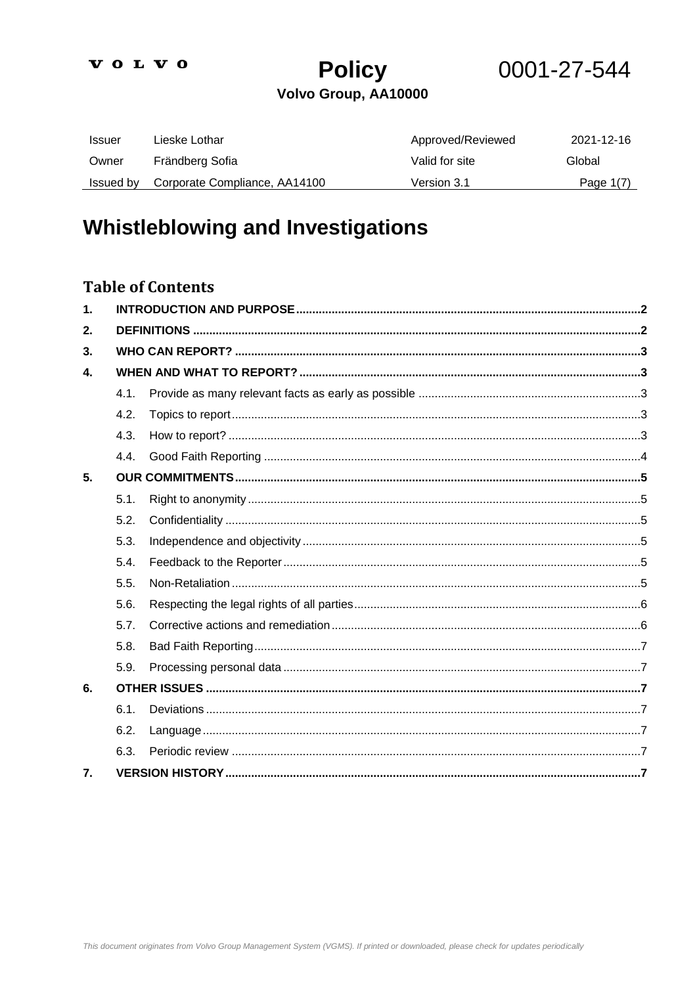# **Policy** Volvo Group, AA10000

0001-27-544

| Issuer    | Lieske Lothar                 | Approved/Reviewed | 2021-12-16  |
|-----------|-------------------------------|-------------------|-------------|
| Owner     | Frändberg Sofia               | Valid for site    | Global      |
| Issued by | Corporate Compliance, AA14100 | Version 3.1       | Page $1(7)$ |

# **Whistleblowing and Investigations**

### **Table of Contents**

| 1. |      |  |  |
|----|------|--|--|
| 2. |      |  |  |
| 3. |      |  |  |
| 4. |      |  |  |
|    | 4.1. |  |  |
|    | 4.2. |  |  |
|    | 4.3. |  |  |
|    | 4.4. |  |  |
| 5. |      |  |  |
|    | 5.1. |  |  |
|    | 5.2. |  |  |
|    | 5.3. |  |  |
|    | 5.4. |  |  |
|    | 5.5. |  |  |
|    | 5.6. |  |  |
|    | 5.7. |  |  |
|    | 5.8. |  |  |
|    | 5.9. |  |  |
| 6. |      |  |  |
|    | 6.1. |  |  |
|    | 6.2. |  |  |
|    | 6.3. |  |  |
| 7. |      |  |  |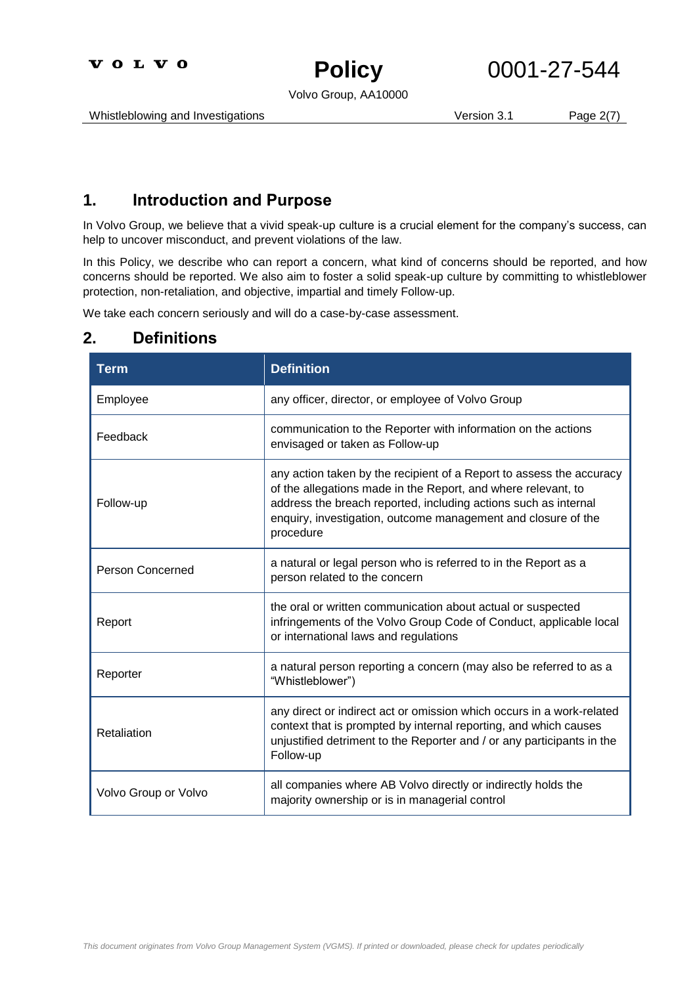**Policy**

# 0001-27-544

Volvo Group, AA10000

Whistleblowing and Investigations **Version 3.1** Page 2(7)

### <span id="page-1-0"></span>**1. Introduction and Purpose**

In Volvo Group, we believe that a vivid speak-up culture is a crucial element for the company's success, can help to uncover misconduct, and prevent violations of the law.

In this Policy, we describe who can report a concern, what kind of concerns should be reported, and how concerns should be reported. We also aim to foster a solid speak-up culture by committing to whistleblower protection, non-retaliation, and objective, impartial and timely Follow-up.

We take each concern seriously and will do a case-by-case assessment.

### <span id="page-1-1"></span>**2. Definitions**

| <b>Term</b>             | <b>Definition</b>                                                                                                                                                                                                                                                                      |
|-------------------------|----------------------------------------------------------------------------------------------------------------------------------------------------------------------------------------------------------------------------------------------------------------------------------------|
| Employee                | any officer, director, or employee of Volvo Group                                                                                                                                                                                                                                      |
| Feedback                | communication to the Reporter with information on the actions<br>envisaged or taken as Follow-up                                                                                                                                                                                       |
| Follow-up               | any action taken by the recipient of a Report to assess the accuracy<br>of the allegations made in the Report, and where relevant, to<br>address the breach reported, including actions such as internal<br>enquiry, investigation, outcome management and closure of the<br>procedure |
| <b>Person Concerned</b> | a natural or legal person who is referred to in the Report as a<br>person related to the concern                                                                                                                                                                                       |
| Report                  | the oral or written communication about actual or suspected<br>infringements of the Volvo Group Code of Conduct, applicable local<br>or international laws and regulations                                                                                                             |
| Reporter                | a natural person reporting a concern (may also be referred to as a<br>"Whistleblower")                                                                                                                                                                                                 |
| Retaliation             | any direct or indirect act or omission which occurs in a work-related<br>context that is prompted by internal reporting, and which causes<br>unjustified detriment to the Reporter and / or any participants in the<br>Follow-up                                                       |
| Volvo Group or Volvo    | all companies where AB Volvo directly or indirectly holds the<br>majority ownership or is in managerial control                                                                                                                                                                        |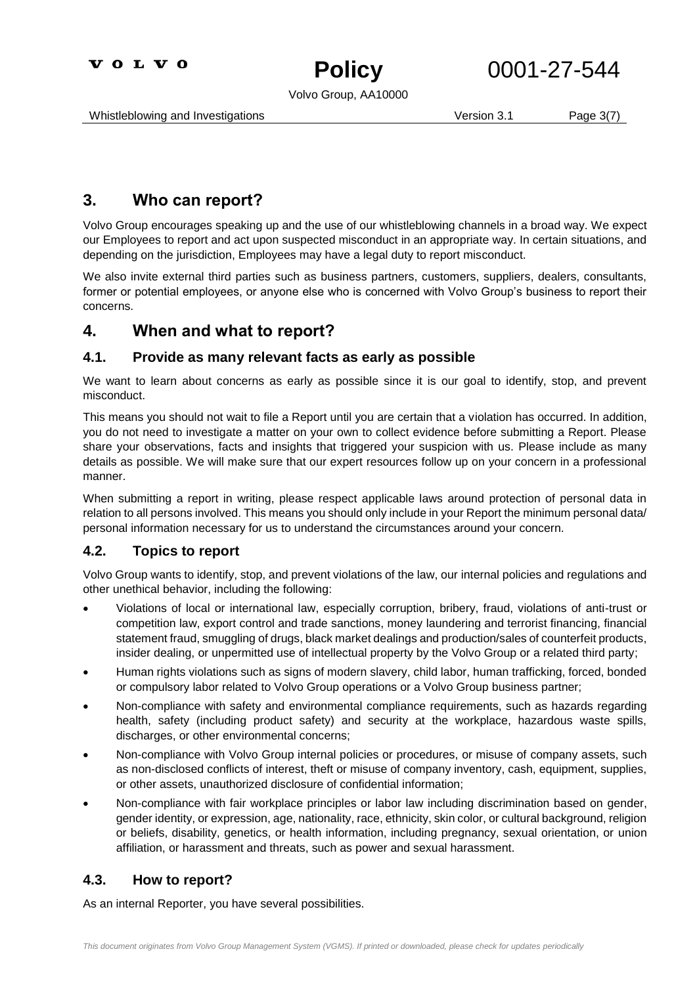

Volvo Group, AA10000

Whistleblowing and Investigations **Version 3.1** Page 3(7)

### <span id="page-2-0"></span>**3. Who can report?**

Volvo Group encourages speaking up and the use of our whistleblowing channels in a broad way. We expect our Employees to report and act upon suspected misconduct in an appropriate way. In certain situations, and depending on the jurisdiction, Employees may have a legal duty to report misconduct.

We also invite external third parties such as business partners, customers, suppliers, dealers, consultants, former or potential employees, or anyone else who is concerned with Volvo Group's business to report their concerns.

### <span id="page-2-1"></span>**4. When and what to report?**

#### <span id="page-2-2"></span>**4.1. Provide as many relevant facts as early as possible**

We want to learn about concerns as early as possible since it is our goal to identify, stop, and prevent misconduct.

This means you should not wait to file a Report until you are certain that a violation has occurred. In addition, you do not need to investigate a matter on your own to collect evidence before submitting a Report. Please share your observations, facts and insights that triggered your suspicion with us. Please include as many details as possible. We will make sure that our expert resources follow up on your concern in a professional manner.

When submitting a report in writing, please respect applicable laws around protection of personal data in relation to all persons involved. This means you should only include in your Report the minimum personal data/ personal information necessary for us to understand the circumstances around your concern.

#### <span id="page-2-3"></span>**4.2. Topics to report**

Volvo Group wants to identify, stop, and prevent violations of the law, our internal policies and regulations and other unethical behavior, including the following:

- Violations of local or international law, especially corruption, bribery, fraud, violations of anti-trust or competition law, export control and trade sanctions, money laundering and terrorist financing, financial statement fraud, smuggling of drugs, black market dealings and production/sales of counterfeit products, insider dealing, or unpermitted use of intellectual property by the Volvo Group or a related third party;
- Human rights violations such as signs of modern slavery, child labor, human trafficking, forced, bonded or compulsory labor related to Volvo Group operations or a Volvo Group business partner;
- Non-compliance with safety and environmental compliance requirements, such as hazards regarding health, safety (including product safety) and security at the workplace, hazardous waste spills, discharges, or other environmental concerns;
- Non-compliance with Volvo Group internal policies or procedures, or misuse of company assets, such as non-disclosed conflicts of interest, theft or misuse of company inventory, cash, equipment, supplies, or other assets, unauthorized disclosure of confidential information;
- Non-compliance with fair workplace principles or labor law including discrimination based on gender, gender identity, or expression, age, nationality, race, ethnicity, skin color, or cultural background, religion or beliefs, disability, genetics, or health information, including pregnancy, sexual orientation, or union affiliation, or harassment and threats, such as power and sexual harassment.

#### <span id="page-2-4"></span>**4.3. How to report?**

As an internal Reporter, you have several possibilities.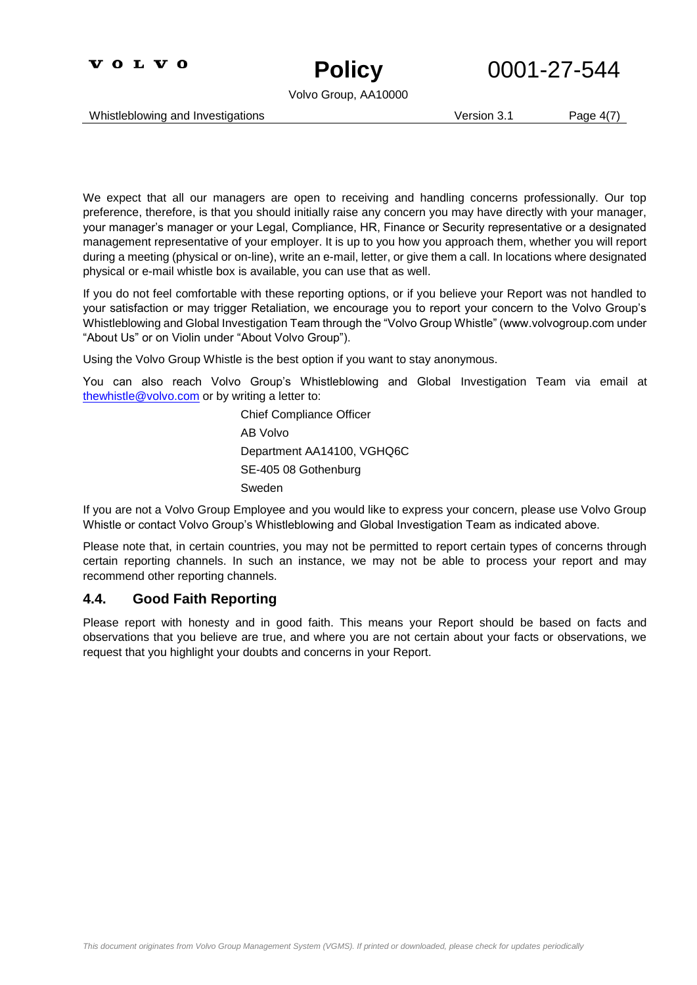



Volvo Group, AA10000

Whistleblowing and Investigations **Version 3.1** Page 4(7)

We expect that all our managers are open to receiving and handling concerns professionally. Our top preference, therefore, is that you should initially raise any concern you may have directly with your manager, your manager's manager or your Legal, Compliance, HR, Finance or Security representative or a designated management representative of your employer. It is up to you how you approach them, whether you will report during a meeting (physical or on-line), write an e-mail, letter, or give them a call. In locations where designated physical or e-mail whistle box is available, you can use that as well.

If you do not feel comfortable with these reporting options, or if you believe your Report was not handled to your satisfaction or may trigger Retaliation, we encourage you to report your concern to the Volvo Group's Whistleblowing and Global Investigation Team through the "Volvo Group Whistle" (www.volvogroup.com under "About Us" or on Violin under "About Volvo Group").

Using the Volvo Group Whistle is the best option if you want to stay anonymous.

You can also reach Volvo Group's Whistleblowing and Global Investigation Team via email at [thewhistle@volvo.com](mailto:thewhistle@volvo.com) or by writing a letter to:

> Chief Compliance Officer AB Volvo Department AA14100, VGHQ6C SE-405 08 Gothenburg Sweden

If you are not a Volvo Group Employee and you would like to express your concern, please use Volvo Group Whistle or contact Volvo Group's Whistleblowing and Global Investigation Team as indicated above.

Please note that, in certain countries, you may not be permitted to report certain types of concerns through certain reporting channels. In such an instance, we may not be able to process your report and may recommend other reporting channels.

#### <span id="page-3-0"></span>**4.4. Good Faith Reporting**

Please report with honesty and in good faith. This means your Report should be based on facts and observations that you believe are true, and where you are not certain about your facts or observations, we request that you highlight your doubts and concerns in your Report.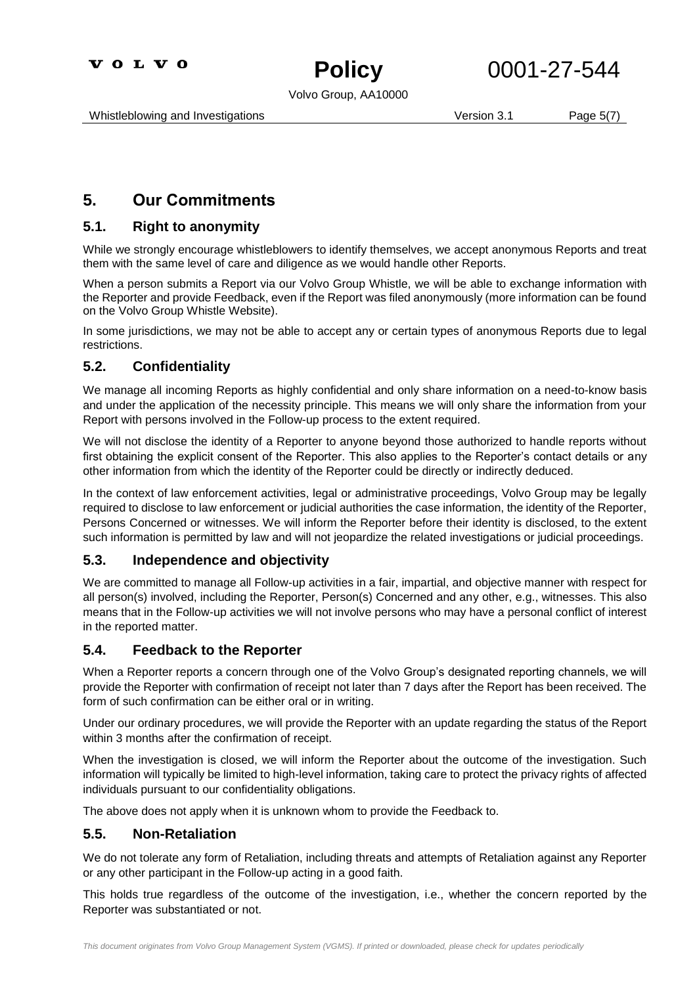

Volvo Group, AA10000

### <span id="page-4-0"></span>**5. Our Commitments**

#### <span id="page-4-1"></span>**5.1. Right to anonymity**

While we strongly encourage whistleblowers to identify themselves, we accept anonymous Reports and treat them with the same level of care and diligence as we would handle other Reports.

When a person submits a Report via our Volvo Group Whistle, we will be able to exchange information with the Reporter and provide Feedback, even if the Report was filed anonymously (more information can be found on the Volvo Group Whistle Website).

In some jurisdictions, we may not be able to accept any or certain types of anonymous Reports due to legal restrictions.

#### <span id="page-4-2"></span>**5.2. Confidentiality**

We manage all incoming Reports as highly confidential and only share information on a need-to-know basis and under the application of the necessity principle. This means we will only share the information from your Report with persons involved in the Follow-up process to the extent required.

We will not disclose the identity of a Reporter to anyone beyond those authorized to handle reports without first obtaining the explicit consent of the Reporter. This also applies to the Reporter's contact details or any other information from which the identity of the Reporter could be directly or indirectly deduced.

In the context of law enforcement activities, legal or administrative proceedings, Volvo Group may be legally required to disclose to law enforcement or judicial authorities the case information, the identity of the Reporter, Persons Concerned or witnesses. We will inform the Reporter before their identity is disclosed, to the extent such information is permitted by law and will not jeopardize the related investigations or judicial proceedings.

#### <span id="page-4-3"></span>**5.3. Independence and objectivity**

We are committed to manage all Follow-up activities in a fair, impartial, and objective manner with respect for all person(s) involved, including the Reporter, Person(s) Concerned and any other, e.g., witnesses. This also means that in the Follow-up activities we will not involve persons who may have a personal conflict of interest in the reported matter.

#### <span id="page-4-4"></span>**5.4. Feedback to the Reporter**

When a Reporter reports a concern through one of the Volvo Group's designated reporting channels, we will provide the Reporter with confirmation of receipt not later than 7 days after the Report has been received. The form of such confirmation can be either oral or in writing.

Under our ordinary procedures, we will provide the Reporter with an update regarding the status of the Report within 3 months after the confirmation of receipt.

When the investigation is closed, we will inform the Reporter about the outcome of the investigation. Such information will typically be limited to high-level information, taking care to protect the privacy rights of affected individuals pursuant to our confidentiality obligations.

The above does not apply when it is unknown whom to provide the Feedback to.

#### <span id="page-4-5"></span>**5.5. Non-Retaliation**

We do not tolerate any form of Retaliation, including threats and attempts of Retaliation against any Reporter or any other participant in the Follow-up acting in a good faith.

This holds true regardless of the outcome of the investigation, i.e., whether the concern reported by the Reporter was substantiated or not.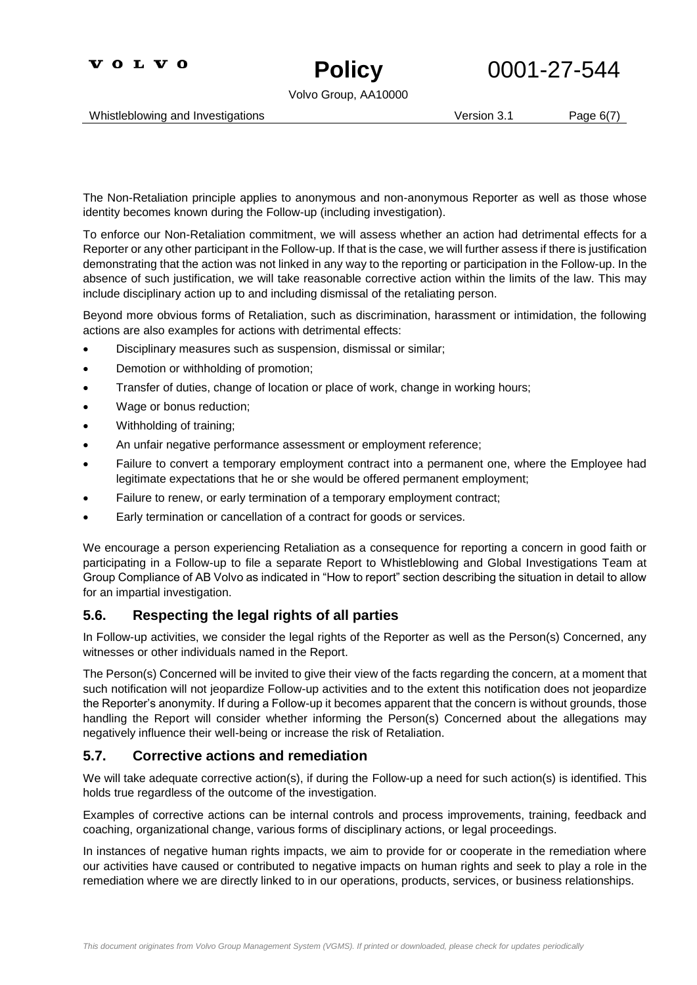



Volvo Group, AA10000

Whistleblowing and Investigations **Version 3.1** Page 6(7)

The Non-Retaliation principle applies to anonymous and non-anonymous Reporter as well as those whose identity becomes known during the Follow-up (including investigation).

To enforce our Non-Retaliation commitment, we will assess whether an action had detrimental effects for a Reporter or any other participant in the Follow-up. If that is the case, we will further assess if there is justification demonstrating that the action was not linked in any way to the reporting or participation in the Follow-up. In the absence of such justification, we will take reasonable corrective action within the limits of the law. This may include disciplinary action up to and including dismissal of the retaliating person.

Beyond more obvious forms of Retaliation, such as discrimination, harassment or intimidation, the following actions are also examples for actions with detrimental effects:

- Disciplinary measures such as suspension, dismissal or similar;
- Demotion or withholding of promotion;
- Transfer of duties, change of location or place of work, change in working hours;
- Wage or bonus reduction;
- Withholding of training;
- An unfair negative performance assessment or employment reference;
- Failure to convert a temporary employment contract into a permanent one, where the Employee had legitimate expectations that he or she would be offered permanent employment;
- Failure to renew, or early termination of a temporary employment contract;
- Early termination or cancellation of a contract for goods or services.

We encourage a person experiencing Retaliation as a consequence for reporting a concern in good faith or participating in a Follow-up to file a separate Report to Whistleblowing and Global Investigations Team at Group Compliance of AB Volvo as indicated in "How to report" section describing the situation in detail to allow for an impartial investigation.

#### <span id="page-5-0"></span>**5.6. Respecting the legal rights of all parties**

In Follow-up activities, we consider the legal rights of the Reporter as well as the Person(s) Concerned, any witnesses or other individuals named in the Report.

The Person(s) Concerned will be invited to give their view of the facts regarding the concern, at a moment that such notification will not jeopardize Follow-up activities and to the extent this notification does not jeopardize the Reporter's anonymity. If during a Follow-up it becomes apparent that the concern is without grounds, those handling the Report will consider whether informing the Person(s) Concerned about the allegations may negatively influence their well-being or increase the risk of Retaliation.

#### <span id="page-5-1"></span>**5.7. Corrective actions and remediation**

We will take adequate corrective action(s), if during the Follow-up a need for such action(s) is identified. This holds true regardless of the outcome of the investigation.

Examples of corrective actions can be internal controls and process improvements, training, feedback and coaching, organizational change, various forms of disciplinary actions, or legal proceedings.

In instances of negative human rights impacts, we aim to provide for or cooperate in the remediation where our activities have caused or contributed to negative impacts on human rights and seek to play a role in the remediation where we are directly linked to in our operations, products, services, or business relationships.